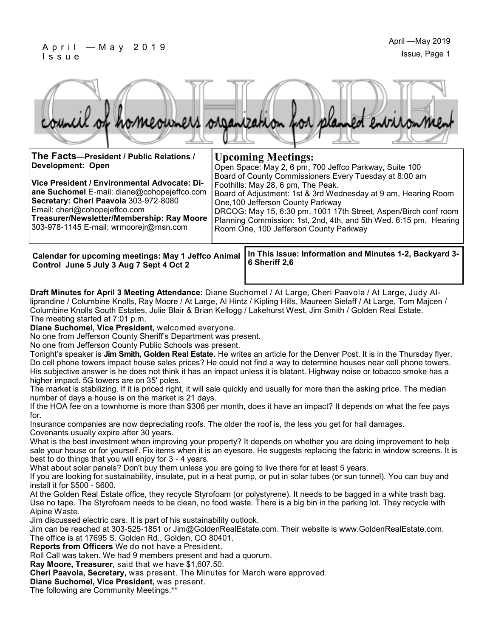#### $April - May 2019$ I s s u e



| The Facts-President / Public Relations /<br><b>Development: Open</b>                                                                                                                                                                                          | <b>Upcoming Meetings:</b><br>Open Space: May 2, 6 pm, 700 Jeffco Parkway, Suite 100                                                                                                                                                                                                                                                                                                   |
|---------------------------------------------------------------------------------------------------------------------------------------------------------------------------------------------------------------------------------------------------------------|---------------------------------------------------------------------------------------------------------------------------------------------------------------------------------------------------------------------------------------------------------------------------------------------------------------------------------------------------------------------------------------|
| Vice President / Environmental Advocate: Di-<br>ane Suchomel E-mail: diane@cohopejeffco.com<br>Secretary: Cheri Paavola 303-972-8080<br>Email: cheri@cohopejeffco.com<br>Treasurer/Newsletter/Membership: Ray Moore<br>303-978-1145 E-mail: wrmoorejr@msn.com | Board of County Commissioners Every Tuesday at 8:00 am<br>Foothills: May 28, 6 pm, The Peak.<br>Board of Adjustment: 1st & 3rd Wednesday at 9 am, Hearing Room<br>One, 100 Jefferson County Parkway<br>DRCOG: May 15, 6:30 pm, 1001 17th Street, Aspen/Birch conf room<br>Planning Commission: 1st, 2nd, 4th, and 5th Wed. 6:15 pm, Hearing<br>Room One, 100 Jefferson County Parkway |
|                                                                                                                                                                                                                                                               |                                                                                                                                                                                                                                                                                                                                                                                       |

**Control June 5 July 3 Aug 7 Sept 4 Oct 2**

**In This Issue: Information and Minutes 1-2, Backyard 3- Calendar for upcoming meetings: May 1 Jeffco Animal 6 Sheriff 2,6**

**Draft Minutes for April 3 Meeting Attendance:** Diane Suchomel / At Large, Cheri Paavola / At Large, Judy Alliprandine / Columbine Knolls, Ray Moore / At Large, Al Hintz / Kipling Hills, Maureen Sielaff / At Large, Tom Majcen / Columbine Knolls South Estates, Julie Blair & Brian Kellogg / Lakehurst West, Jim Smith / Golden Real Estate. The meeting started at 7:01 p.m.

**Diane Suchomel, Vice President,** welcomed everyone.

No one from Jefferson County Sheriff's Department was present.

No one from Jefferson County Public Schools was present.

Tonight's speaker is **Jim Smith, Golden Real Estate.** He writes an article for the Denver Post. It is in the Thursday flyer. Do cell phone towers impact house sales prices? He could not find a way to determine houses near cell phone towers. His subjective answer is he does not think it has an impact unless it is blatant. Highway noise or tobacco smoke has a higher impact. 5G towers are on 35' poles.

The market is stabilizing. If it is priced right, it will sale quickly and usually for more than the asking price. The median number of days a house is on the market is 21 days.

If the HOA fee on a townhome is more than \$306 per month, does it have an impact? It depends on what the fee pays for.

Insurance companies are now depreciating roofs. The older the roof is, the less you get for hail damages. Covenants usually expire after 30 years.

What is the best investment when improving your property? It depends on whether you are doing improvement to help sale your house or for yourself. Fix items when it is an eyesore. He suggests replacing the fabric in window screens. It is best to do things that you will enjoy for 3 - 4 years.

What about solar panels? Don't buy them unless you are going to live there for at least 5 years.

If you are looking for sustainability, insulate, put in a heat pump, or put in solar tubes (or sun tunnel). You can buy and install it for \$500 - \$600.

At the Golden Real Estate office, they recycle Styrofoam (or polystyrene). It needs to be bagged in a white trash bag. Use no tape. The Styrofoam needs to be clean, no food waste. There is a big bin in the parking lot. They recycle with Alpine Waste.

Jim discussed electric cars. It is part of his sustainability outlook.

Jim can be reached at 303-525-1851 or Jim@GoldenRealEstate.com. Their website is www.GoldenRealEstate.com. The office is at 17695 S. Golden Rd., Golden, CO 80401.

**Reports from Officers** We do not have a President.

Roll Call was taken. We had 9 members present and had a quorum.

**Ray Moore, Treasurer,** said that we have \$1,607.50.

**Cheri Paavola, Secretary,** was present. The Minutes for March were approved.

**Diane Suchomel, Vice President,** was present.

The following are Community Meetings.\*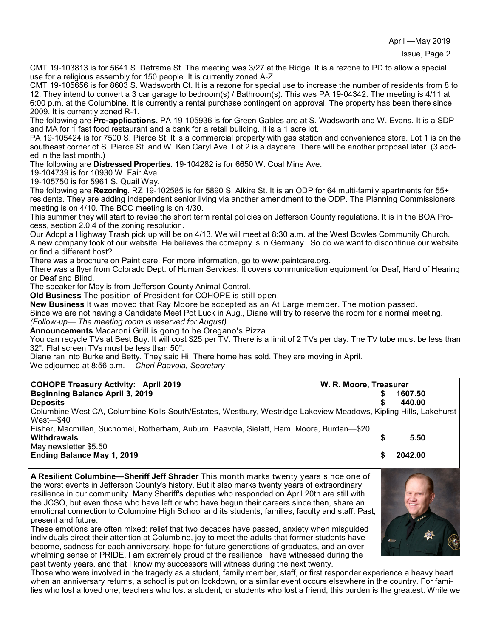CMT 19-103813 is for 5641 S. Deframe St. The meeting was 3/27 at the Ridge. It is a rezone to PD to allow a special use for a religious assembly for 150 people. It is currently zoned A-Z.

CMT 19-105656 is for 8603 S. Wadsworth Ct. It is a rezone for special use to increase the number of residents from 8 to 12. They intend to convert a 3 car garage to bedroom(s) / Bathroom(s). This was PA 19-04342. The meeting is 4/11 at 6:00 p.m. at the Columbine. It is currently a rental purchase contingent on approval. The property has been there since 2009. It is currently zoned R-1.

The following are **Pre-applications.** PA 19-105936 is for Green Gables are at S. Wadsworth and W. Evans. It is a SDP and MA for 1 fast food restaurant and a bank for a retail building. It is a 1 acre lot.

PA 19-105424 is for 7500 S. Pierce St. It is a commercial property with gas station and convenience store. Lot 1 is on the southeast corner of S. Pierce St. and W. Ken Caryl Ave. Lot 2 is a daycare. There will be another proposal later. (3 added in the last month.)

The following are **Distressed Properties**. 19-104282 is for 6650 W. Coal Mine Ave.

19-104739 is for 10930 W. Fair Ave.

19-105750 is for 5961 S. Quail Way.

The following are **Rezoning**. RZ 19-102585 is for 5890 S. Alkire St. It is an ODP for 64 multi-family apartments for 55+ residents. They are adding independent senior living via another amendment to the ODP. The Planning Commissioners meeting is on 4/10. The BCC meeting is on 4/30.

This summer they will start to revise the short term rental policies on Jefferson County regulations. It is in the BOA Process, section 2.0.4 of the zoning resolution.

Our Adopt a Highway Trash pick up will be on 4/13. We will meet at 8:30 a.m. at the West Bowles Community Church. A new company took of our website. He believes the comapny is in Germany. So do we want to discontinue our website or find a different host?

There was a brochure on Paint care. For more information, go to www.paintcare.org.

There was a flyer from Colorado Dept. of Human Services. It covers communication equipment for Deaf, Hard of Hearing or Deaf and Blind.

The speaker for May is from Jefferson County Animal Control.

**Old Business** The position of President for COHOPE is still open.

**New Business** It was moved that Ray Moore be accepted as an At Large member. The motion passed.

Since we are not having a Candidate Meet Pot Luck in Aug., Diane will try to reserve the room for a normal meeting. *(Follow*-*up*— *The meeting room is reserved for August)*

**Announcements** Macaroni Grill is gong to be Oregano's Pizza.

You can recycle TVs at Best Buy. It will cost \$25 per TV. There is a limit of 2 TVs per day. The TV tube must be less than 32". Flat screen TVs must be less than 50".

Diane ran into Burke and Betty. They said Hi. There home has sold. They are moving in April. We adjourned at 8:56 p.m.— *Cheri Paavola, Secretary*

| <b>COHOPE Treasury Activity: April 2019</b>                                                                      | W. R. Moore, Treasurer |         |  |
|------------------------------------------------------------------------------------------------------------------|------------------------|---------|--|
| <b>Beginning Balance April 3, 2019</b>                                                                           |                        | 1607.50 |  |
| <b>Deposits</b>                                                                                                  |                        | 440.00  |  |
| Columbine West CA, Columbine Kolls South/Estates, Westbury, Westridge-Lakeview Meadows, Kipling Hills, Lakehurst |                        |         |  |
| $West - $40$                                                                                                     |                        |         |  |
| Fisher, Macmillan, Suchomel, Rotherham, Auburn, Paavola, Sielaff, Ham, Moore, Burdan-\$20                        |                        |         |  |
| <b>Withdrawals</b>                                                                                               |                        | 5.50    |  |
| May newsletter \$5.50                                                                                            |                        |         |  |
| <b>Ending Balance May 1, 2019</b>                                                                                |                        | 2042.00 |  |

**A Resilient Columbine—Sheriff Jeff Shrader** This month marks twenty years since one of the worst events in Jefferson County's history. But it also marks twenty years of extraordinary resilience in our community. Many Sheriff's deputies who responded on April 20th are still with the JCSO, but even those who have left or who have begun their careers since then, share an emotional connection to Columbine High School and its students, families, faculty and staff. Past, present and future.

These emotions are often mixed: relief that two decades have passed, anxiety when misguided individuals direct their attention at Columbine, joy to meet the adults that former students have become, sadness for each anniversary, hope for future generations of graduates, and an overwhelming sense of PRIDE. I am extremely proud of the resilience I have witnessed during the past twenty years, and that I know my successors will witness during the next twenty.



Those who were involved in the tragedy as a student, family member, staff, or first responder experience a heavy heart when an anniversary returns, a school is put on lockdown, or a similar event occurs elsewhere in the country. For families who lost a loved one, teachers who lost a student, or students who lost a friend, this burden is the greatest. While we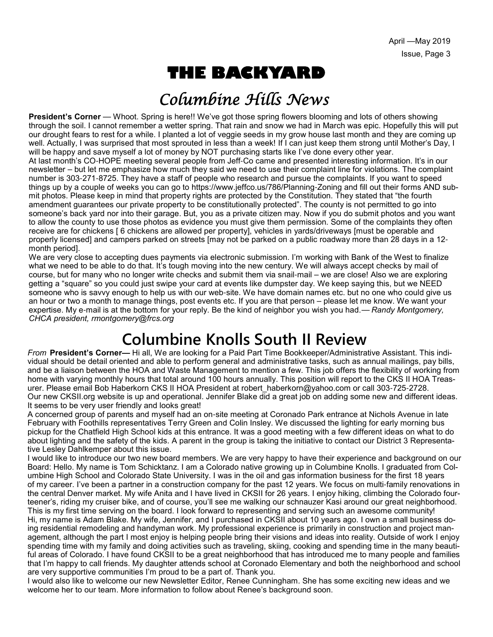# **THE BACKYARD**

## Columbine Hills News

**President's Corner** — Whoot. Spring is here!! We've got those spring flowers blooming and lots of others showing through the soil. I cannot remember a wetter spring. That rain and snow we had in March was epic. Hopefully this will put our drought fears to rest for a while. I planted a lot of veggie seeds in my grow house last month and they are coming up well. Actually, I was surprised that most sprouted in less than a week! If I can just keep them strong until Mother's Day, I will be happy and save myself a lot of money by NOT purchasing starts like I've done every other year. At last month's CO-HOPE meeting several people from Jeff-Co came and presented interesting information. It's in our newsletter – but let me emphasize how much they said we need to use their complaint line for violations. The complaint number is 303-271-8725. They have a staff of people who research and pursue the complaints. If you want to speed things up by a couple of weeks you can go to https://www.jeffco.us/786/Planning-Zoning and fill out their forms AND submit photos. Please keep in mind that property rights are protected by the Constitution. They stated that "the fourth amendment guarantees our private property to be constitutionally protected". The county is not permitted to go into someone's back yard nor into their garage. But, you as a private citizen may. Now if you do submit photos and you want to allow the county to use those photos as evidence you must give them permission. Some of the complaints they often receive are for chickens [ 6 chickens are allowed per property], vehicles in yards/driveways [must be operable and properly licensed] and campers parked on streets [may not be parked on a public roadway more than 28 days in a 12 month period].

We are very close to accepting dues payments via electronic submission. I'm working with Bank of the West to finalize what we need to be able to do that. It's tough moving into the new century. We will always accept checks by mail of course, but for many who no longer write checks and submit them via snail-mail – we are close! Also we are exploring getting a "square" so you could just swipe your card at events like dumpster day. We keep saying this, but we NEED someone who is savvy enough to help us with our web-site. We have domain names etc. but no one who could give us an hour or two a month to manage things, post events etc. If you are that person – please let me know. We want your expertise. My e-mail is at the bottom for your reply. Be the kind of neighbor you wish you had.— *Randy Montgomery, CHCA president, rmontgomery@frcs.org*

## **Columbine Knolls South II Review**

*From* **President's Corner—** Hi all, We are looking for a Paid Part Time Bookkeeper/Administrative Assistant. This individual should be detail oriented and able to perform general and administrative tasks, such as annual mailings, pay bills, and be a liaison between the HOA and Waste Management to mention a few. This job offers the flexibility of working from home with varying monthly hours that total around 100 hours annually. This position will report to the CKS II HOA Treasurer. Please email Bob Haberkorn CKS II HOA President at robert haberkorn@yahoo.com or call 303-725-2728. Our new CKSII.org website is up and operational. Jennifer Blake did a great job on adding some new and different ideas. It seems to be very user friendly and looks great!

A concerned group of parents and myself had an on-site meeting at Coronado Park entrance at Nichols Avenue in late February with Foothills representatives Terry Green and Colin Insley. We discussed the lighting for early morning bus pickup for the Chatfield High School kids at this entrance. It was a good meeting with a few different ideas on what to do about lighting and the safety of the kids. A parent in the group is taking the initiative to contact our District 3 Representative Lesley Dahlkemper about this issue.

I would like to introduce our two new board members. We are very happy to have their experience and background on our Board: Hello. My name is Tom Schicktanz. I am a Colorado native growing up in Columbine Knolls. I graduated from Columbine High School and Colorado State University. I was in the oil and gas information business for the first 18 years of my career. I've been a partner in a construction company for the past 12 years. We focus on multi-family renovations in the central Denver market. My wife Anita and I have lived in CKSII for 26 years. I enjoy hiking, climbing the Colorado fourteener's, riding my cruiser bike, and of course, you'll see me walking our schnauzer Kasi around our great neighborhood. This is my first time serving on the board. I look forward to representing and serving such an awesome community! Hi, my name is Adam Blake. My wife, Jennifer, and I purchased in CKSII about 10 years ago. I own a small business doing residential remodeling and handyman work. My professional experience is primarily in construction and project management, although the part I most enjoy is helping people bring their visions and ideas into reality. Outside of work I enjoy spending time with my family and doing activities such as traveling, skiing, cooking and spending time in the many beautiful areas of Colorado. I have found CKSII to be a great neighborhood that has introduced me to many people and families that I'm happy to call friends. My daughter attends school at Coronado Elementary and both the neighborhood and school are very supportive communities I'm proud to be a part of. Thank you.

I would also like to welcome our new Newsletter Editor, Renee Cunningham. She has some exciting new ideas and we welcome her to our team. More information to follow about Renee's background soon.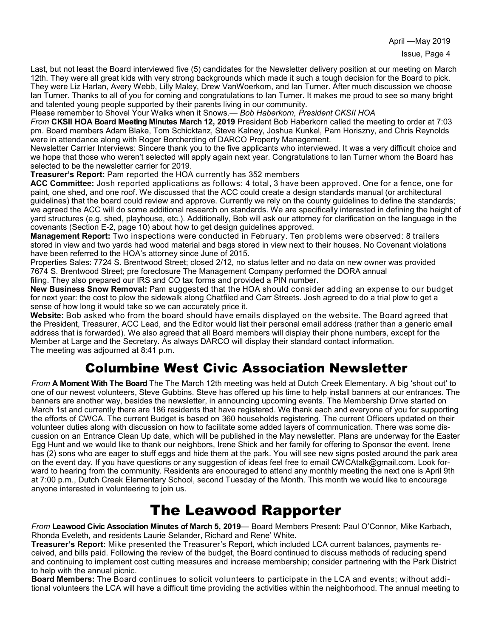Last, but not least the Board interviewed five (5) candidates for the Newsletter delivery position at our meeting on March 12th. They were all great kids with very strong backgrounds which made it such a tough decision for the Board to pick. They were Liz Harlan, Avery Webb, Lilly Maley, Drew VanWoerkom, and Ian Turner. After much discussion we choose Ian Turner. Thanks to all of you for coming and congratulations to Ian Turner. It makes me proud to see so many bright and talented young people supported by their parents living in our community.

Please remember to Shovel Your Walks when it Snows.— *Bob Haberkorn, President CKSII HOA*

*From* **CKSII HOA Board Meeting Minutes March 12, 2019** President Bob Haberkorn called the meeting to order at 7:03 pm. Board members Adam Blake, Tom Schicktanz, Steve Kalney, Joshua Kunkel, Pam Horiszny, and Chris Reynolds were in attendance along with Roger Borcherding of DARCO Property Management.

Newsletter Carrier Interviews: Sincere thank you to the five applicants who interviewed. It was a very difficult choice and we hope that those who weren't selected will apply again next year. Congratulations to Ian Turner whom the Board has selected to be the newsletter carrier for 2019.

**Treasurer's Report:** Pam reported the HOA currently has 352 members

**ACC Committee:** Josh reported applications as follows: 4 total, 3 have been approved. One for a fence, one for paint, one shed, and one roof. We discussed that the ACC could create a design standards manual (or architectural guidelines) that the board could review and approve. Currently we rely on the county guidelines to define the standards; we agreed the ACC will do some additional research on standards. We are specifically interested in defining the height of yard structures (e.g. shed, playhouse, etc.). Additionally, Bob will ask our attorney for clarification on the language in the covenants (Section E-2, page 10) about how to get design guidelines approved.

**Management Report:** Two inspections were conducted in February. Ten problems were observed: 8 trailers stored in view and two yards had wood material and bags stored in view next to their houses. No Covenant violations have been referred to the HOA's attorney since June of 2015.

Properties Sales: 7724 S. Brentwood Street; closed 2/12, no status letter and no data on new owner was provided 7674 S. Brentwood Street; pre foreclosure The Management Company performed the DORA annual filing. They also prepared our IRS and CO tax forms and provided a PIN number.

**New Business Snow Removal:** Pam suggested that the HOA should consider adding an expense to our budget for next year: the cost to plow the sidewalk along Chatfiled and Carr Streets. Josh agreed to do a trial plow to get a sense of how long it would take so we can accurately price it.

**Website:** Bob asked who from the board should have emails displayed on the website. The Board agreed that the President, Treasurer, ACC Lead, and the Editor would list their personal email address (rather than a generic email address that is forwarded). We also agreed that all Board members will display their phone numbers, except for the Member at Large and the Secretary. As always DARCO will display their standard contact information. The meeting was adjourned at 8:41 p.m.

### Columbine West Civic Association Newsletter

*From* **A Moment With The Board** The The March 12th meeting was held at Dutch Creek Elementary. A big 'shout out' to one of our newest volunteers, Steve Gubbins. Steve has offered up his time to help install banners at our entrances. The banners are another way, besides the newsletter, in announcing upcoming events. The Membership Drive started on March 1st and currently there are 186 residents that have registered. We thank each and everyone of you for supporting the efforts of CWCA. The current Budget is based on 360 households registering. The current Officers updated on their volunteer duties along with discussion on how to facilitate some added layers of communication. There was some discussion on an Entrance Clean Up date, which will be published in the May newsletter. Plans are underway for the Easter Egg Hunt and we would like to thank our neighbors, Irene Shick and her family for offering to Sponsor the event. Irene has (2) sons who are eager to stuff eggs and hide them at the park. You will see new signs posted around the park area on the event day. If you have questions or any suggestion of ideas feel free to email CWCAtalk@gmail.com. Look forward to hearing from the community. Residents are encouraged to attend any monthly meeting the next one is April 9th at 7:00 p.m., Dutch Creek Elementary School, second Tuesday of the Month. This month we would like to encourage anyone interested in volunteering to join us.

### The Leawood Rapporter

*From* **Leawood Civic Association Minutes of March 5, 2019**— Board Members Present: Paul O'Connor, Mike Karbach, Rhonda Eveleth, and residents Laurie Selander, Richard and Rene' White.

**Treasurer's Report:** Mike presented the Treasurer's Report, which included LCA current balances, payments received, and bills paid. Following the review of the budget, the Board continued to discuss methods of reducing spend and continuing to implement cost cutting measures and increase membership; consider partnering with the Park District to help with the annual picnic.

**Board Members:** The Board continues to solicit volunteers to participate in the LCA and events; without additional volunteers the LCA will have a difficult time providing the activities within the neighborhood. The annual meeting to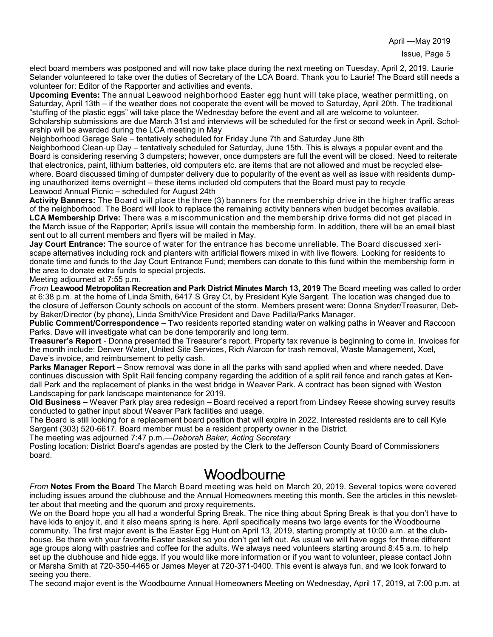April —May 2019

elect board members was postponed and will now take place during the next meeting on Tuesday, April 2, 2019. Laurie Selander volunteered to take over the duties of Secretary of the LCA Board. Thank you to Laurie! The Board still needs a volunteer for: Editor of the Rapporter and activities and events.

**Upcoming Events:** The annual Leawood neighborhood Easter egg hunt will take place, weather permitting, on Saturday, April 13th – if the weather does not cooperate the event will be moved to Saturday, April 20th. The traditional "stuffing of the plastic eggs" will take place the Wednesday before the event and all are welcome to volunteer. Scholarship submissions are due March 31st and interviews will be scheduled for the first or second week in April. Schol-

arship will be awarded during the LCA meeting in May

Neighborhood Garage Sale – tentatively scheduled for Friday June 7th and Saturday June 8th

Neighborhood Clean-up Day – tentatively scheduled for Saturday, June 15th. This is always a popular event and the Board is considering reserving 3 dumpsters; however, once dumpsters are full the event will be closed. Need to reiterate that electronics, paint, lithium batteries, old computers etc. are items that are not allowed and must be recycled elsewhere. Board discussed timing of dumpster delivery due to popularity of the event as well as issue with residents dumping unauthorized items overnight – these items included old computers that the Board must pay to recycle Leawood Annual Picnic – scheduled for August 24th

**Activity Banners:** The Board will place the three (3) banners for the membership drive in the higher traffic areas of the neighborhood. The Board will look to replace the remaining activity banners when budget becomes available. **LCA Membership Drive:** There was a miscommunication and the membership drive forms did not get placed in the March issue of the Rapporter; April's issue will contain the membership form. In addition, there will be an email blast sent out to all current members and flyers will be mailed in May.

**Jay Court Entrance:** The source of water for the entrance has become unreliable. The Board discussed xeriscape alternatives including rock and planters with artificial flowers mixed in with live flowers. Looking for residents to donate time and funds to the Jay Court Entrance Fund; members can donate to this fund within the membership form in the area to donate extra funds to special projects.

Meeting adjourned at 7:55 p.m.

*From* **Leawood Metropolitan Recreation and Park District Minutes March 13, 2019** The Board meeting was called to order at 6:38 p.m. at the home of Linda Smith, 6417 S Gray Ct, by President Kyle Sargent. The location was changed due to the closure of Jefferson County schools on account of the storm. Members present were: Donna Snyder/Treasurer, Debby Baker/Director (by phone), Linda Smith/Vice President and Dave Padilla/Parks Manager.

**Public Comment/Correspondence** – Two residents reported standing water on walking paths in Weaver and Raccoon Parks. Dave will investigate what can be done temporarily and long term.

**Treasurer's Report** - Donna presented the Treasurer's report. Property tax revenue is beginning to come in. Invoices for the month include: Denver Water, United Site Services, Rich Alarcon for trash removal, Waste Management, Xcel, Dave's invoice, and reimbursement to petty cash.

**Parks Manager Report –** Snow removal was done in all the parks with sand applied when and where needed. Dave continues discussion with Split Rail fencing company regarding the addition of a split rail fence and ranch gates at Kendall Park and the replacement of planks in the west bridge in Weaver Park. A contract has been signed with Weston Landscaping for park landscape maintenance for 2019.

**Old Business –** Weaver Park play area redesign – Board received a report from Lindsey Reese showing survey results conducted to gather input about Weaver Park facilities and usage.

The Board is still looking for a replacement board position that will expire in 2022. Interested residents are to call Kyle Sargent (303) 520-6617. Board member must be a resident property owner in the District.

The meeting was adjourned 7:47 p.m.—*Deborah Baker, Acting Secretary*

Posting location: District Board's agendas are posted by the Clerk to the Jefferson County Board of Commissioners board.

#### **Woodbourne**

*From* **Notes From the Board** The March Board meeting was held on March 20, 2019. Several topics were covered including issues around the clubhouse and the Annual Homeowners meeting this month. See the articles in this newsletter about that meeting and the quorum and proxy requirements.

We on the Board hope you all had a wonderful Spring Break. The nice thing about Spring Break is that you don't have to have kids to enjoy it, and it also means spring is here. April specifically means two large events for the Woodbourne community. The first major event is the Easter Egg Hunt on April 13, 2019, starting promptly at 10:00 a.m. at the clubhouse. Be there with your favorite Easter basket so you don't get left out. As usual we will have eggs for three different age groups along with pastries and coffee for the adults. We always need volunteers starting around 8:45 a.m. to help set up the clubhouse and hide eggs. If you would like more information or if you want to volunteer, please contact John or Marsha Smith at 720-350-4465 or James Meyer at 720-371-0400. This event is always fun, and we look forward to seeing you there.

The second major event is the Woodbourne Annual Homeowners Meeting on Wednesday, April 17, 2019, at 7:00 p.m. at